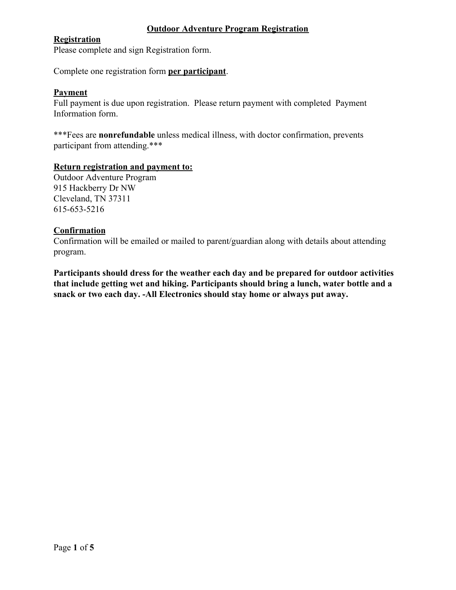## **Outdoor Adventure Program Registration**

## **Registration**

Please complete and sign Registration form.

Complete one registration form **per participant**.

# **Payment**

Full payment is due upon registration. Please return payment with completed Payment Information form.

\*\*\*Fees are **nonrefundable** unless medical illness, with doctor confirmation, prevents participant from attending.\*\*\*

#### **Return registration and payment to:**

Outdoor Adventure Program 915 Hackberry Dr NW Cleveland, TN 37311 615-653-5216

#### **Confirmation**

Confirmation will be emailed or mailed to parent/guardian along with details about attending program.

**Participants should dress for the weather each day and be prepared for outdoor activities that include getting wet and hiking. Participants should bring a lunch, water bottle and a snack or two each day. -All Electronics should stay home or always put away.**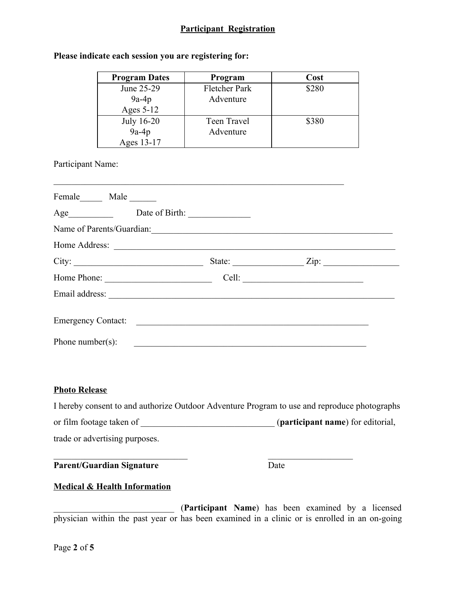# **Participant Registration**

# **Please indicate each session you are registering for:**

| <b>Program Dates</b> | Program       | Cost  |
|----------------------|---------------|-------|
| June 25-29           | Fletcher Park | \$280 |
| $9a-4p$              | Adventure     |       |
| Ages $5-12$          |               |       |
| July 16-20           | Teen Travel   | \$380 |
| $9a-4p$              | Adventure     |       |
| Ages 13-17           |               |       |

 $\frac{1}{2}$  ,  $\frac{1}{2}$  ,  $\frac{1}{2}$  ,  $\frac{1}{2}$  ,  $\frac{1}{2}$  ,  $\frac{1}{2}$  ,  $\frac{1}{2}$  ,  $\frac{1}{2}$  ,  $\frac{1}{2}$  ,  $\frac{1}{2}$  ,  $\frac{1}{2}$  ,  $\frac{1}{2}$  ,  $\frac{1}{2}$  ,  $\frac{1}{2}$  ,  $\frac{1}{2}$  ,  $\frac{1}{2}$  ,  $\frac{1}{2}$  ,  $\frac{1}{2}$  ,  $\frac{1$ 

Participant Name:

| Name of Parents/Guardian: |                               |  |
|---------------------------|-------------------------------|--|
| Home Address:             |                               |  |
|                           | State: $\angle$ Zip: $\angle$ |  |
| Home Phone:               |                               |  |
|                           |                               |  |
|                           |                               |  |
| Phone number(s):          |                               |  |
|                           |                               |  |

#### **Photo Release**

|                                | I hereby consent to and authorize Outdoor Adventure Program to use and reproduce photographs |
|--------------------------------|----------------------------------------------------------------------------------------------|
| or film footage taken of       | ( <b>participant name</b> ) for editorial,                                                   |
| trade or advertising purposes. |                                                                                              |

 $\mathcal{L}_\text{max}$  , and the contract of the contract of the contract of the contract of the contract of the contract of

**Parent/Guardian Signature** Date

## **Medical & Health Information**

\_\_\_\_\_\_\_\_\_\_\_\_\_\_\_\_\_\_\_\_\_\_\_\_\_\_\_ (**Participant Name**) has been examined by a licensed physician within the past year or has been examined in a clinic or is enrolled in an on-going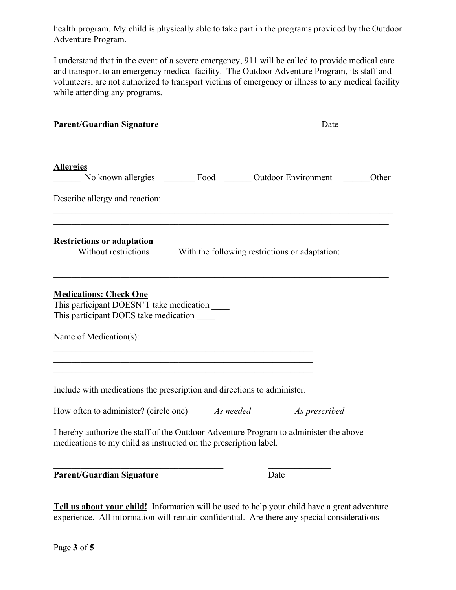health program. My child is physically able to take part in the programs provided by the Outdoor Adventure Program.

I understand that in the event of a severe emergency, 911 will be called to provide medical care and transport to an emergency medical facility. The Outdoor Adventure Program, its staff and volunteers, are not authorized to transport victims of emergency or illness to any medical facility while attending any programs.

| <b>Parent/Guardian Signature</b>                                                                                                                                                                                                                                           |      | Date                 |       |
|----------------------------------------------------------------------------------------------------------------------------------------------------------------------------------------------------------------------------------------------------------------------------|------|----------------------|-------|
| <b>Allergies</b><br>No known allergies _________ Food ________ Outdoor Environment _______                                                                                                                                                                                 |      |                      | Other |
| Describe allergy and reaction:                                                                                                                                                                                                                                             |      |                      |       |
| <b>Restrictions or adaptation</b><br>Without restrictions _______ With the following restrictions or adaptation:                                                                                                                                                           |      |                      |       |
| <b>Medications: Check One</b><br>This participant DOESN'T take medication ______<br>This participant DOES take medication<br>Name of Medication(s):<br><u> 1989 - Johann John Stoff, deutscher Stoffen und der Stoffen und der Stoffen und der Stoffen und der Stoffen</u> |      |                      |       |
| Include with medications the prescription and directions to administer.<br>How often to administer? (circle one) As needed                                                                                                                                                 |      |                      |       |
| I hereby authorize the staff of the Outdoor Adventure Program to administer the above<br>medications to my child as instructed on the prescription label.                                                                                                                  |      | <b>As prescribed</b> |       |
| <b>Parent/Guardian Signature</b>                                                                                                                                                                                                                                           | Date |                      |       |

**Tell us about your child!** Information will be used to help your child have a great adventure experience. All information will remain confidential. Are there any special considerations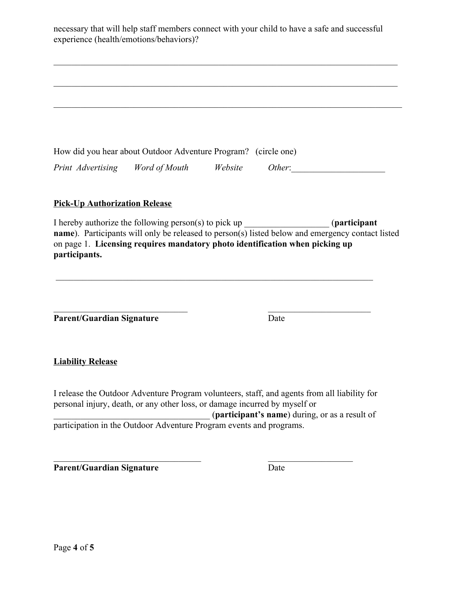| necessary that will help staff members connect with your child to have a safe and successful<br>experience (health/emotions/behaviors)?                                                                                                                                               |         |                                                |                       |
|---------------------------------------------------------------------------------------------------------------------------------------------------------------------------------------------------------------------------------------------------------------------------------------|---------|------------------------------------------------|-----------------------|
|                                                                                                                                                                                                                                                                                       |         |                                                |                       |
|                                                                                                                                                                                                                                                                                       |         |                                                |                       |
|                                                                                                                                                                                                                                                                                       |         |                                                |                       |
|                                                                                                                                                                                                                                                                                       |         |                                                |                       |
| How did you hear about Outdoor Adventure Program? (circle one)                                                                                                                                                                                                                        |         |                                                |                       |
| Word of Mouth<br>Print Advertising                                                                                                                                                                                                                                                    | Website |                                                | Other:                |
| <b>Pick-Up Authorization Release</b>                                                                                                                                                                                                                                                  |         |                                                |                       |
| I hereby authorize the following person(s) to pick up __________________________<br>name). Participants will only be released to person(s) listed below and emergency contact listed<br>on page 1. Licensing requires mandatory photo identification when picking up<br>participants. |         |                                                | <i>(participant</i> ) |
| <b>Parent/Guardian Signature</b>                                                                                                                                                                                                                                                      |         | Date                                           |                       |
| <b>Liability Release</b>                                                                                                                                                                                                                                                              |         |                                                |                       |
| I release the Outdoor Adventure Program volunteers, staff, and agents from all liability for<br>personal injury, death, or any other loss, or damage incurred by myself or                                                                                                            |         | (participant's name) during, or as a result of |                       |
| participation in the Outdoor Adventure Program events and programs.                                                                                                                                                                                                                   |         |                                                |                       |
| <b>Parent/Guardian Signature</b>                                                                                                                                                                                                                                                      |         | Date                                           |                       |